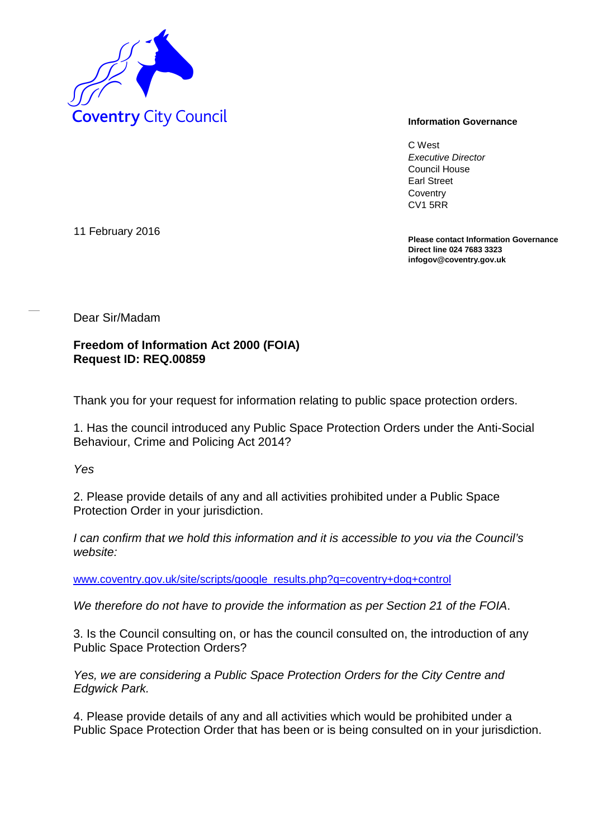

C West *Executive Director* Council House Earl Street **Coventry** CV1 5RR

**Please contact Information Governance Direct line 024 7683 3323 infogov@coventry.gov.uk** 

11 February 2016

Dear Sir/Madam

**Freedom of Information Act 2000 (FOIA) Request ID: REQ.00859**

Thank you for your request for information relating to public space protection orders.

1. Has the council introduced any Public Space Protection Orders under the Anti-Social Behaviour, Crime and Policing Act 2014?

*Yes*

2. Please provide details of any and all activities prohibited under a Public Space Protection Order in your jurisdiction.

*I can confirm that we hold this information and it is accessible to you via the Council's website:*

[www.coventry.gov.uk/site/scripts/google\\_results.php?q=coventry+dog+control](http://www.coventry.gov.uk/site/scripts/google_results.php?q=coventry+dog+control)

*We therefore do not have to provide the information as per Section 21 of the FOIA*.

3. Is the Council consulting on, or has the council consulted on, the introduction of any Public Space Protection Orders?

*Yes, we are considering a Public Space Protection Orders for the City Centre and Edgwick Park.*

4. Please provide details of any and all activities which would be prohibited under a Public Space Protection Order that has been or is being consulted on in your jurisdiction.